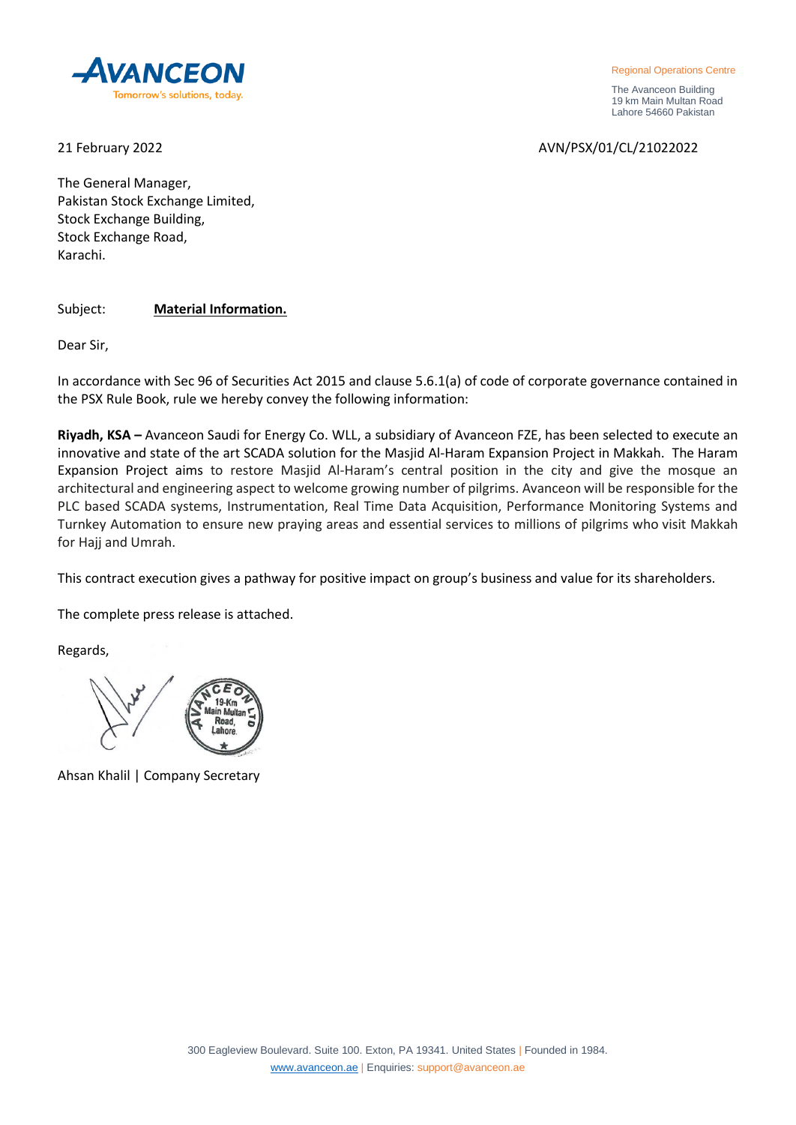

Regional Operations Centre

 The Avanceon Building 19 km Main Multan Road Lahore 54660 Pakistan

21 February 2022 AVN/PSX/01/CL/21022022

The General Manager, Pakistan Stock Exchange Limited, Stock Exchange Building, Stock Exchange Road, Karachi.

Subject: **Material Information.**

Dear Sir,

In accordance with Sec 96 of Securities Act 2015 and clause 5.6.1(a) of code of corporate governance contained in the PSX Rule Book, rule we hereby convey the following information:

**Riyadh, KSA –** Avanceon Saudi for Energy Co. WLL, a subsidiary of Avanceon FZE, has been selected to execute an innovative and state of the art SCADA solution for the Masjid Al-Haram Expansion Project in Makkah. The Haram Expansion Project aims to restore Masjid Al-Haram's central position in the city and give the mosque an architectural and engineering aspect to welcome growing number of pilgrims. Avanceon will be responsible for the PLC based SCADA systems, Instrumentation, Real Time Data Acquisition, Performance Monitoring Systems and Turnkey Automation to ensure new praying areas and essential services to millions of pilgrims who visit Makkah for Hajj and Umrah.

This contract execution gives a pathway for positive impact on group's business and value for its shareholders.

The complete press release is attached.

Regards,

Ahsan Khalil | Company Secretary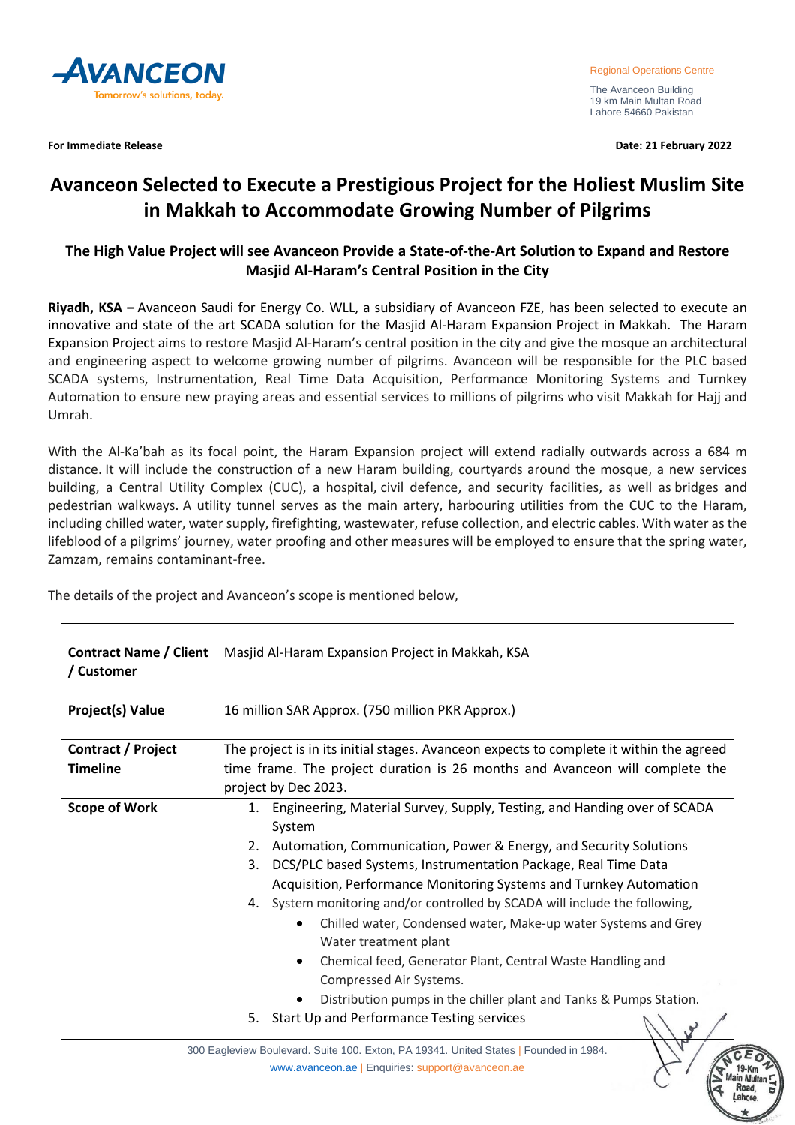

The Avanceon Building 19 km Main Multan Road Lahore 54660 Pakistan

**For Immediate Release Date: 21 February 2022**

## **Avanceon Selected to Execute a Prestigious Project for the Holiest Muslim Site in Makkah to Accommodate Growing Number of Pilgrims**

## **The High Value Project will see Avanceon Provide a State-of-the-Art Solution to Expand and Restore Masjid Al-Haram's Central Position in the City**

**Riyadh, KSA –** Avanceon Saudi for Energy Co. WLL, a subsidiary of Avanceon FZE, has been selected to execute an innovative and state of the art SCADA solution for the Masjid Al-Haram Expansion Project in Makkah. The Haram Expansion Project aims to restore Masjid Al-Haram's central position in the city and give the mosque an architectural and engineering aspect to welcome growing number of pilgrims. Avanceon will be responsible for the PLC based SCADA systems, Instrumentation, Real Time Data Acquisition, Performance Monitoring Systems and Turnkey Automation to ensure new praying areas and essential services to millions of pilgrims who visit Makkah for Hajj and Umrah.

With the Al-Ka'bah as its focal point, the Haram Expansion project will extend radially outwards across a 684 m distance. It will include the construction of a new Haram building, courtyards around the mosque, a new services building, a Central Utility Complex (CUC), a hospital, civil defence, and security facilities, as well as bridges and pedestrian walkways. A utility tunnel serves as the main artery, harbouring utilities from the CUC to the Haram, including chilled water, water supply, firefighting, wastewater, refuse collection, and electric cables. With water as the lifeblood of a pilgrims' journey, water proofing and other measures will be employed to ensure that the spring water, Zamzam, remains contaminant-free.

| <b>Contract Name / Client</b><br>/ Customer | Masjid Al-Haram Expansion Project in Makkah, KSA                                                                                                                                                                                                                                                                                                                                                                                                                                                                                                                                                                                                                                                        |
|---------------------------------------------|---------------------------------------------------------------------------------------------------------------------------------------------------------------------------------------------------------------------------------------------------------------------------------------------------------------------------------------------------------------------------------------------------------------------------------------------------------------------------------------------------------------------------------------------------------------------------------------------------------------------------------------------------------------------------------------------------------|
| <b>Project(s) Value</b>                     | 16 million SAR Approx. (750 million PKR Approx.)                                                                                                                                                                                                                                                                                                                                                                                                                                                                                                                                                                                                                                                        |
| <b>Contract / Project</b>                   | The project is in its initial stages. Avanceon expects to complete it within the agreed                                                                                                                                                                                                                                                                                                                                                                                                                                                                                                                                                                                                                 |
| <b>Timeline</b>                             | time frame. The project duration is 26 months and Avanceon will complete the                                                                                                                                                                                                                                                                                                                                                                                                                                                                                                                                                                                                                            |
|                                             | project by Dec 2023.                                                                                                                                                                                                                                                                                                                                                                                                                                                                                                                                                                                                                                                                                    |
| <b>Scope of Work</b>                        | Engineering, Material Survey, Supply, Testing, and Handing over of SCADA<br>1.<br>System<br>2. Automation, Communication, Power & Energy, and Security Solutions<br>DCS/PLC based Systems, Instrumentation Package, Real Time Data<br>3.<br>Acquisition, Performance Monitoring Systems and Turnkey Automation<br>4. System monitoring and/or controlled by SCADA will include the following,<br>Chilled water, Condensed water, Make-up water Systems and Grey<br>Water treatment plant<br>Chemical feed, Generator Plant, Central Waste Handling and<br>Compressed Air Systems.<br>Distribution pumps in the chiller plant and Tanks & Pumps Station.<br>5. Start Up and Performance Testing services |

The details of the project and Avanceon's scope is mentioned below,

300 Eagleview Boulevard. Suite 100. Exton, PA 19341. United States | Founded in 1984. [www.avanceon.ae](http://www.avanceon.ae/) | Enquiries: support@avanceon.ae